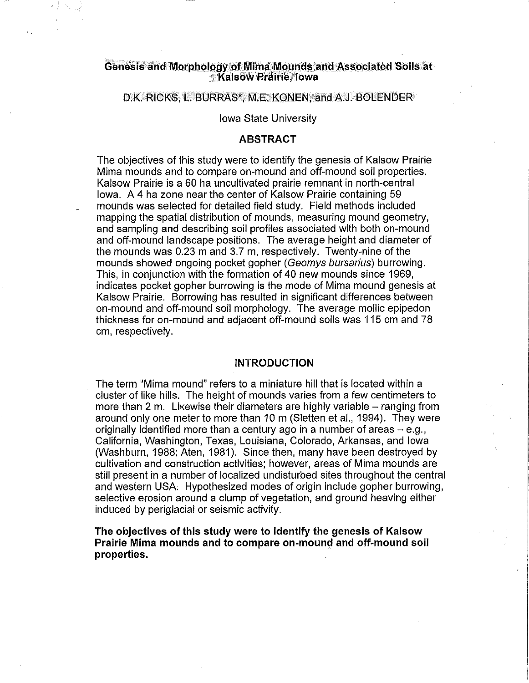#### **Genesis and Morphology of Mirna Mounds and Associated Soils at Kalsow Prairie, Iowa**

#### O.K. RICKS, L. BURRAS\*, M.E. KONEN, and A.J. BOLENDER

#### Iowa State University

## **ABSTRACT**

The objectives of this study were to identify the genesis of Kalsow Prairie Mima mounds and to compare on-mound and off-mound soil properties. Kalsow Prairie is a 60 ha uncultivated prairie remnant in north-central Iowa. A 4 ha zone near the center of Kalsow Prairie containing 59 mounds was selected for detailed field study. Field methods included mapping the spatial distribution of mounds, measuring mound geometry, and sampling and describing soil profiles associated with both on-mound and off-mound landscape positions. The average height and diameter of the mounds was 0.23 m and 3.7 m, respectively. Twenty-nine of the mounds showed ongoing pocket gopher (Geomys bursarius) burrowing. This, in conjunction with the formation of 40 new mounds since 1969, indicates pocket gopher burrowing is the mode of Mima mound genesis at Kalsow Prairie. Borrowing has resulted in significant differences between on-mound and off-mound soil morphology. The average mollie epipedon thickness for on-mound and adjacent off-mound soils was 115 em and 78 em, respectively.

## **INTRODUCTION**

The term "Mirna mound" refers to a miniature hill that is located within a cluster of like hills. The height of mounds varies from a few centimeters to more than 2 m. Likewise their diameters are highly variable  $-$  ranging from around only one meter to more than 10m (Sletten et al., 1994). They were originally identified more than a century ago in a number of areas  $-$  e.g., California, Washington, Texas, Louisiana, Colorado, Arkansas, and Iowa (Washburn, 1988; Aten, 1981). Since then, many have been destroyed by cultivation and construction activities; however, areas of Mirna mounds are still present in a number of localized undisturbed sites throughout the central and western USA. Hypothesized modes of origin include gopher burrowing, selective erosion around a clump of vegetation, and ground heaving either induced by periglacial or seismic activity.

**The objectives of this study were to identify the genesis of Kalsow Prairie Mirna mounds and to compare on-mound and off-mound soil properties.**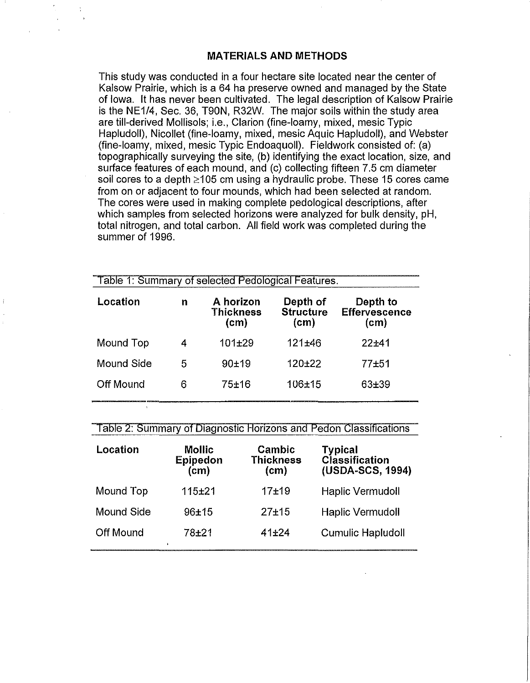## **MATERIALS AND METHODS**

 $\frac{1}{\epsilon}$ 

This study was conducted in a four hectare site located near the center of Kalsow Prairie, which is a 64 ha preserve owned and managed by the State of Iowa. It has never been cultivated. The legal description of Kalsow Prairie is the NE1/4, Sec. 36, T90N, R32W. The major soils within the study area are till-derived Mollisols; i.e., Clarion (fine-loamy, mixed, mesic Typic Hapludoll), Nicollet (fine-loamy, mixed, mesic Aquic Hapludoll), and Webster (fine-loamy, mixed, mesic Typic Endoaquoll). Fieldwork consisted of: (a) topographically surveying the site, (b) identifying the exact location, size, and surface features of each mound, and (c) collecting fifteen 7.5 em diameter soil cores to a depth  $\geq 105$  cm using a hydraulic probe. These 15 cores came from on or adjacent to four mounds, which had been selected at random. The cores were used in making complete pedological descriptions, after which samples from selected horizons were analyzed for bulk density, pH, total nitrogen, and total carbon. All field work was completed during the summer of 1996.

| Table 1: Summary of selected Pedological Features. |   |                                       |                                      |                                                     |  |
|----------------------------------------------------|---|---------------------------------------|--------------------------------------|-----------------------------------------------------|--|
| Location                                           | n | A horizon<br><b>Thickness</b><br>(cm) | Depth of<br><b>Structure</b><br>(cm) | Depth to<br><b>Effervescence</b><br>$\mathsf{(cm)}$ |  |
| Mound Top                                          | 4 | $101 + 29$                            | 121±46                               | 22±41                                               |  |
| Mound Side                                         | 5 | $90 + 19$                             | 120±22                               | $77 + 51$                                           |  |
| Off Mound                                          | 6 | 75±16                                 | 106±15                               | 63±39                                               |  |

#### Table 2: Summary of Diagnostic Horizons and Pedon Classifications

| Location          | <b>Mollic</b><br><b>Epipedon</b><br>(c <sub>m</sub> ) | Cambic<br><b>Thickness</b><br>(cm) | <b>Typical</b><br><b>Classification</b><br>(USDA-SCS, 1994) |
|-------------------|-------------------------------------------------------|------------------------------------|-------------------------------------------------------------|
| Mound Top         | $115 + 21$                                            | $17 + 19$                          | <b>Haplic Vermudoll</b>                                     |
| <b>Mound Side</b> | $96 + 15$                                             | $27 + 15$                          | <b>Haplic Vermudoll</b>                                     |
| <b>Off Mound</b>  | 78±21                                                 | $41 + 24$                          | <b>Cumulic Hapludoll</b>                                    |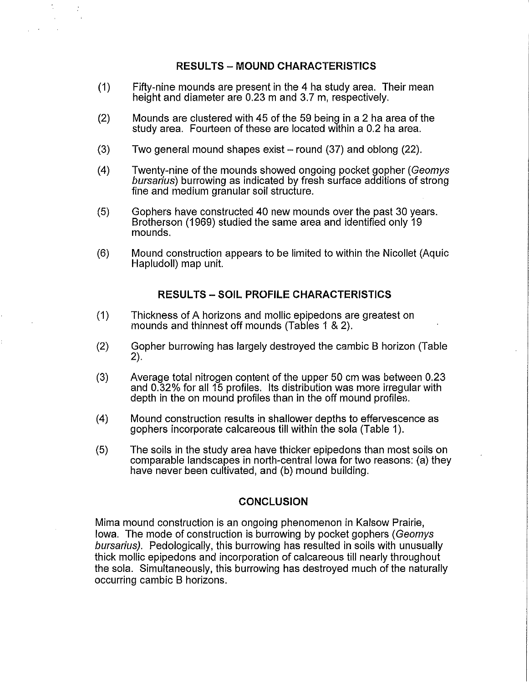# **RESULTS - MOUND CHARACTERISTICS**

(1) Fifty-nine mounds are present in the 4 ha study area. Their mean height and diameter are 0.23 m and 3.7 m, respectively.

 $\frac{1}{\gamma_{\rm c}}$ 

- (2) Mounds are clustered with 45 of the 59 being in a 2 ha area of the study area. Fourteen of these are located within a 0.2 ha area.
- (3) Two general mound shapes exist- round (37) and oblong (22).
- (4) Twenty-nine of the mounds showed ongoing pocket gopher (Geomys bursarius) burrowing as indicated by fresh surface additions of strong fine and medium granular soil structure.
- (5) Gophers have constructed 40 new mounds over the past 30 years. Brotherson (1969) studied the same area and identified only 19 mounds.
- (6) Mound construction appears to be limited to within the Nicollet (Aquic Hapludoll) map unit.

## **RESULTS- SOIL PROFILE CHARACTERISTICS**

- (1) Thickness of A horizons and mollie epipedons are greatest on mounds and thinnest off mounds (Tables 1 & 2).
- (2) Gopher burrowing has largely destroyed the cambic B horizon (Table 2).
- (3) Average total nitrogen content of the upper 50 em was between 0.23 and 0.32% for all 15 profiles. Its distribution was more irregular with depth in the on mound profiles than in the off mound profiles.
- (4) Mound construction results in shallower depths to effervescence as gophers incorporate calcareous till within the sola (Table 1).
- (5) The soils in the study area have thicker epipedons than most soils on comparable landscapes in north-central Iowa for two reasons: (a) they have never been cultivated, and (b) mound building.

#### **CONCLUSION**

Mima mound construction is an ongoing phenomenon in Kalsow Prairie, Iowa. The mode of construction is burrowing by pocket gophers (Geomys bursarius). Pedologically, this burrowing has resulted in soils with unusually thick mollie epipedons and incorporation of calcareous till nearly throughout the sola. Simultaneously, this burrowing has destroyed much of the naturally occurring cambic B horizons.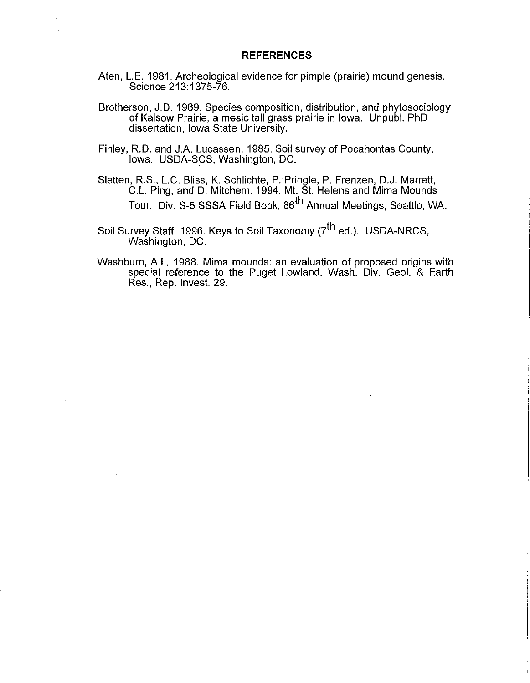#### **REFERENCES**

Aten, L.E. 1981. Archeological evidence for pimple (prairie) mound genesis. Science 213:1375-76.

 $\hat{J}$ 

 $\frac{1}{\sqrt{2}}$ 

- Brotherson, J.D. 1969. Species composition, distribution, and phytosociology of Kalsow Prairie, a mesic tall grass prairie in Iowa. Unpubl. PhD dissertation, Iowa State University.
- Finley, R.D. and J.A. Lucassen. 1985. Soil survey of Pocahontas County, Iowa. USDA-SCS, Washington, DC.
- Sletten, R.S., L.C. Bliss, K. Schlichte, P. Pringle, P. Frenzen, D.J. Marrett, C.L. Ping, and D. Mitchem. 1994. Mt. St. Helens and Mima Mounds Tour. Div. S-5 SSSA Field Book, 86<sup>th</sup> Annual Meetings, Seattle, WA.
- Soil Survey Staff. 1996. Keys to Soil Taxonomy (7<sup>th</sup> ed.). USDA-NRCS, Washington, DC.
- Washburn, A.L. 1988. Mima mounds: an evaluation of proposed origins with special reference to the Puget Lowland. Wash. Div. Geol. & Earth Res., Rep. Invest. 29.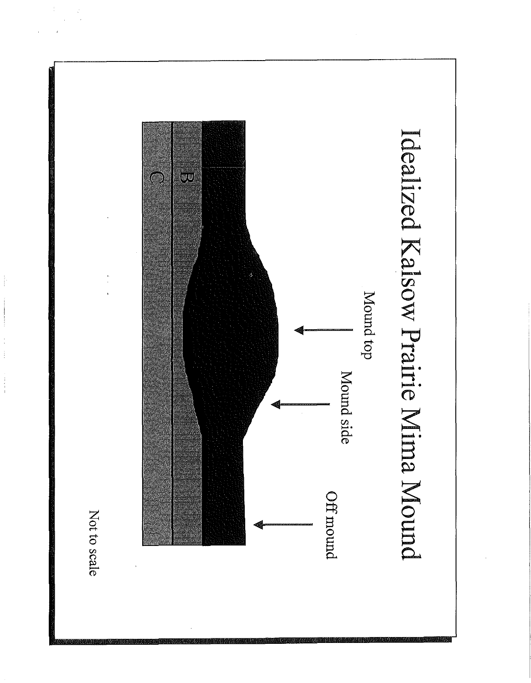

 $\begin{array}{c} \mathbf{1} & \mathbf{1} \\ \mathbf{1} & \mathbf{1} \\ \mathbf{1} & \mathbf{1} \\ \mathbf{1} & \mathbf{1} \end{array}$